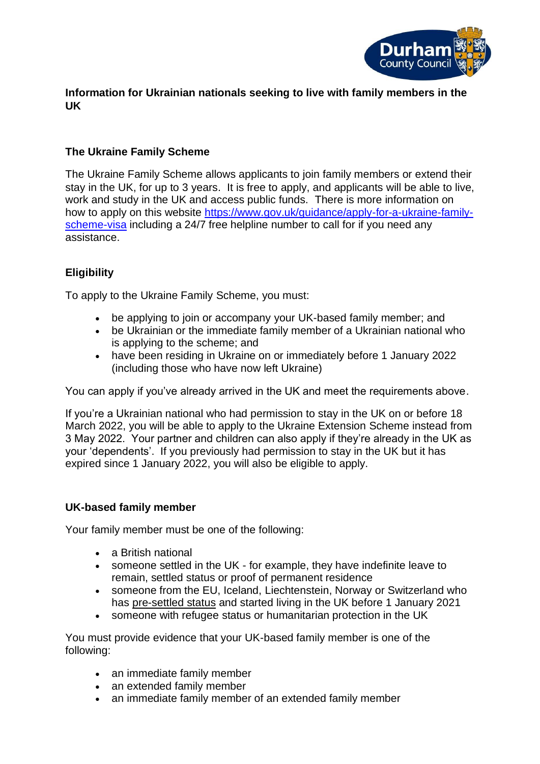

### **Information for Ukrainian nationals seeking to live with family members in the UK**

# **The Ukraine Family Scheme**

The Ukraine Family Scheme allows applicants to join family members or extend their stay in the UK, for up to 3 years. It is free to apply, and applicants will be able to live, work and study in the UK and access public funds. There is more information on how to apply on this website [https://www.gov.uk/guidance/apply-for-a-ukraine-family](https://www.gov.uk/guidance/apply-for-a-ukraine-family-scheme-visa)[scheme-visa](https://www.gov.uk/guidance/apply-for-a-ukraine-family-scheme-visa) including a 24/7 free helpline number to call for if you need any assistance.

# **Eligibility**

To apply to the Ukraine Family Scheme, you must:

- be applying to join or accompany your UK-based family member; and
- be Ukrainian or the immediate family member of a Ukrainian national who is applying to the scheme; and
- have been residing in Ukraine on or immediately before 1 January 2022 (including those who have now left Ukraine)

You can apply if you've already arrived in the UK and meet the requirements above.

If you're a Ukrainian national who had permission to stay in the UK on or before 18 March 2022, you will be able to apply to the Ukraine Extension Scheme instead from 3 May 2022. Your partner and children can also apply if they're already in the UK as your 'dependents'. If you previously had permission to stay in the UK but it has expired since 1 January 2022, you will also be eligible to apply.

## **UK-based family member**

Your family member must be one of the following:

- a British national
- someone settled in the UK for example, they have indefinite leave to remain, settled status or proof of permanent residence
- someone from the EU, Iceland, Liechtenstein, Norway or Switzerland who has [pre-settled status](https://www.gov.uk/settled-status-eu-citizens-families/what-settled-and-presettled-status-means) and started living in the UK before 1 January 2021
- someone with refugee status or humanitarian protection in the UK

You must provide evidence that your UK-based family member is one of the following:

- an immediate family member
- an extended family member
- an immediate family member of an extended family member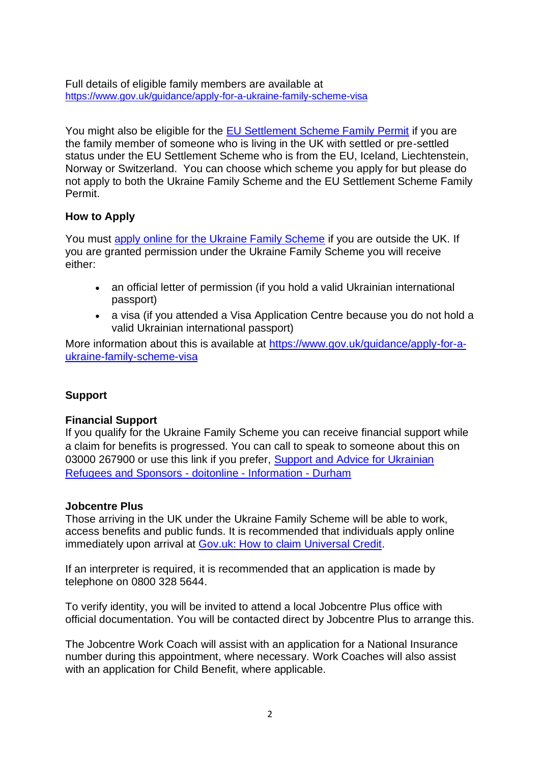Full details of eligible family members are available at <https://www.gov.uk/guidance/apply-for-a-ukraine-family-scheme-visa>

You might also be eligible for the [EU Settlement Scheme Family Permit](https://www.gov.uk/family-permit) if you are the family member of someone who is living in the UK with settled or pre-settled status under the EU Settlement Scheme who is from the EU, Iceland, Liechtenstein, Norway or Switzerland. You can choose which scheme you apply for but please do not apply to both the Ukraine Family Scheme and the EU Settlement Scheme Family Permit.

## **How to Apply**

You must [apply online for the Ukraine Family Scheme](https://apply.visas-immigration.service.gov.uk/apply-visa-type/ukraine-scheme-ooc) if you are outside the UK. If you are granted permission under the Ukraine Family Scheme you will receive either:

- an official letter of permission (if you hold a valid Ukrainian international passport)
- a visa (if you attended a Visa Application Centre because you do not hold a valid Ukrainian international passport)

More information about this is available at [https://www.gov.uk/guidance/apply-for-a](https://www.gov.uk/guidance/apply-for-a-ukraine-family-scheme-visa)[ukraine-family-scheme-visa](https://www.gov.uk/guidance/apply-for-a-ukraine-family-scheme-visa)

#### **Support**

#### **Financial Support**

If you qualify for the Ukraine Family Scheme you can receive financial support while a claim for benefits is progressed. You can call to speak to someone about this on 03000 267900 or use this link if you prefer, Support and Advice for Ukrainian [Refugees and Sponsors -](https://doitonline.durham.gov.uk/en/service/Support_And_Advice_For_Ukrainian_Refugees_and_sponsors) doitonline - Information - Durham

#### **Jobcentre Plus**

Those arriving in the UK under the Ukraine Family Scheme will be able to work, access benefits and public funds. It is recommended that individuals apply online immediately upon arrival at [Gov.uk: How to claim Universal Credit.](http://www.gov.uk/universal-credit/how-to-claim)

If an interpreter is required, it is recommended that an application is made by telephone on 0800 328 5644.

To verify identity, you will be invited to attend a local Jobcentre Plus office with official documentation. You will be contacted direct by Jobcentre Plus to arrange this.

The Jobcentre Work Coach will assist with an application for a National Insurance number during this appointment, where necessary. Work Coaches will also assist with an application for Child Benefit, where applicable.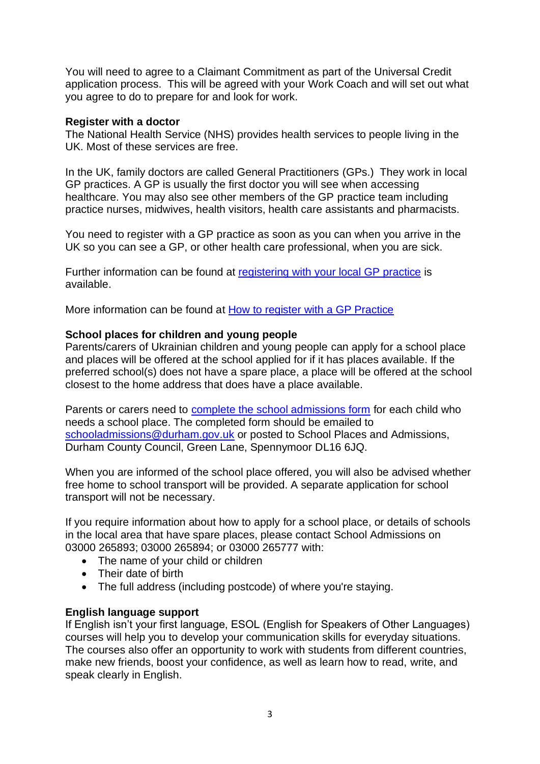You will need to agree to a Claimant Commitment as part of the Universal Credit application process. This will be agreed with your Work Coach and will set out what you agree to do to prepare for and look for work.

#### **Register with a doctor**

The National Health Service (NHS) provides health services to people living in the UK. Most of these services are free.

In the UK, family doctors are called General Practitioners (GPs.) They work in local GP practices. A GP is usually the first doctor you will see when accessing healthcare. You may also see other members of the GP practice team including practice nurses, midwives, health visitors, health care assistants and pharmacists.

You need to register with a GP practice as soon as you can when you arrive in the UK so you can see a GP, or other health care professional, when you are sick.

Further information can be found at [registering with your local GP practice](https://assets.nhs.uk/prod/documents/how-to-register-with-a-gp-asylum-seekers-and-refugees.pdf#:~:text=There%20is%20no%20regulatory%20requirement%20to%20prove%20identity%2C,no%20contractual%20requirement%20for%20GPs%20to%20request%20this.) is available.

More information can be found at [How to register with a GP Practice](https://www.nhs.uk/nhs-services/gps/how-to-register-with-a-gp-surgery/)

#### **School places for children and young people**

Parents/carers of Ukrainian children and young people can apply for a school place and places will be offered at the school applied for if it has places available. If the preferred school(s) does not have a spare place, a place will be offered at the school closest to the home address that does have a place available.

Parents or carers need to [complete the school admissions form](https://www.durham.gov.uk/ukrainianschoolplaces) for each child who needs a school place. The completed form should be emailed to [schooladmissions@durham.gov.uk](mailto:schooladmissions@durham.gov.uk) or posted to School Places and Admissions, Durham County Council, Green Lane, Spennymoor DL16 6JQ.

When you are informed of the school place offered, you will also be advised whether free home to school transport will be provided. A separate application for school transport will not be necessary.

If you require information about how to apply for a school place, or details of schools in the local area that have spare places, please contact School Admissions on 03000 265893; 03000 265894; or 03000 265777 with:

- The name of your child or children
- Their date of birth
- The full address (including postcode) of where you're staying.

#### **English language support**

If English isn't your first language, ESOL (English for Speakers of Other Languages) courses will help you to develop your communication skills for everyday situations. The courses also offer an opportunity to work with students from different countries, make new friends, boost your confidence, as well as learn how to read, write, and speak clearly in English.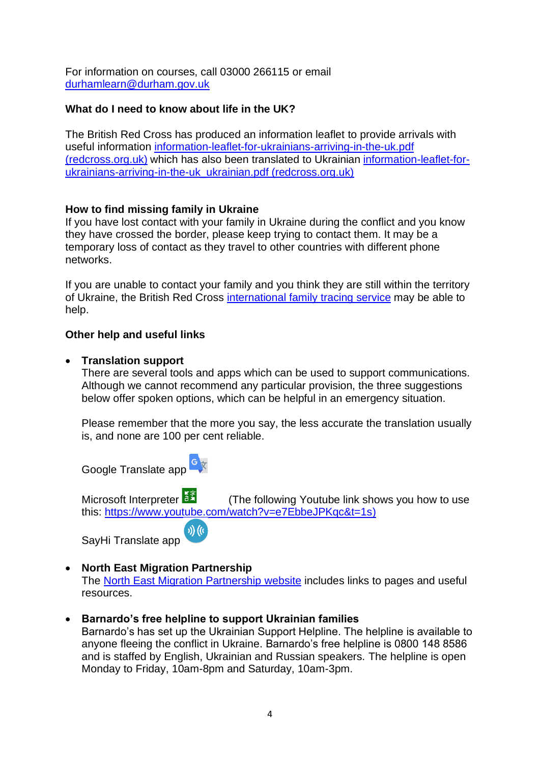For information on courses, call 03000 266115 or email [durhamlearn@durham.gov.uk](mailto:durhamlearn@durham.gov.uk)

### **What do I need to know about life in the UK?**

The British Red Cross has produced an information leaflet to provide arrivals with useful information [information-leaflet-for-ukrainians-arriving-in-the-uk.pdf](https://www.redcross.org.uk/-/media/documents/get-help-as-a-refugee/ukraine/information-leaflet-for-ukrainians-arriving-in-the-uk.pdf?la=en&hash=F7B944113231A3D1E81779862CBB0CE8C6E94EC8)  [\(redcross.org.uk\)](https://www.redcross.org.uk/-/media/documents/get-help-as-a-refugee/ukraine/information-leaflet-for-ukrainians-arriving-in-the-uk.pdf?la=en&hash=F7B944113231A3D1E81779862CBB0CE8C6E94EC8) which has also been translated to Ukrainian [information-leaflet-for](https://www.redcross.org.uk/-/media/documents/get-help-as-a-refugee/ukraine/information-leaflet-for-ukrainians-arriving-in-the-uk_ukrainian.pdf?la=en&hash=74D6150B1BE2D49E4F4A88D102F62737F2DE325D)[ukrainians-arriving-in-the-uk\\_ukrainian.pdf \(redcross.org.uk\)](https://www.redcross.org.uk/-/media/documents/get-help-as-a-refugee/ukraine/information-leaflet-for-ukrainians-arriving-in-the-uk_ukrainian.pdf?la=en&hash=74D6150B1BE2D49E4F4A88D102F62737F2DE325D)

### **How to find missing family in Ukraine**

If you have lost contact with your family in Ukraine during the conflict and you know they have crossed the border, please keep trying to contact them. It may be a temporary loss of contact as they travel to other countries with different phone networks.

If you are unable to contact your family and you think they are still within the territory of Ukraine, the British Red Cross [international family tracing service](https://www.redcross.org.uk/get-help/get-help-as-a-refugee/help-for-refugees-from-ukraine) may be able to help.

### **Other help and useful links**

#### • **Translation support**

There are several tools and apps which can be used to support communications. Although we cannot recommend any particular provision, the three suggestions below offer spoken options, which can be helpful in an emergency situation.

Please remember that the more you say, the less accurate the translation usually is, and none are 100 per cent reliable.

Google Translate app  $\frac{c}{x}$ 

Microsoft Interpreter **(The following Youtube link shows you how to use** this: [https://www.youtube.com/watch?v=e7EbbeJPKqc&t=1s\)](https://www.youtube.com/watch?v=e7EbbeJPKqc&t=1s)

 $\eta$  ((c) SayHi Translate app

## • **North East Migration Partnership**

The [North East Migration Partnership website](https://www.nemp.org.uk/ukraine/) includes links to pages and useful resources.

## • **Barnardo's free helpline to support Ukrainian families**

Barnardo's has set up the Ukrainian Support Helpline. The helpline is available to anyone fleeing the conflict in Ukraine. Barnardo's free helpline is 0800 148 8586 and is staffed by English, Ukrainian and Russian speakers. The helpline is open Monday to Friday, 10am-8pm and Saturday, 10am-3pm.